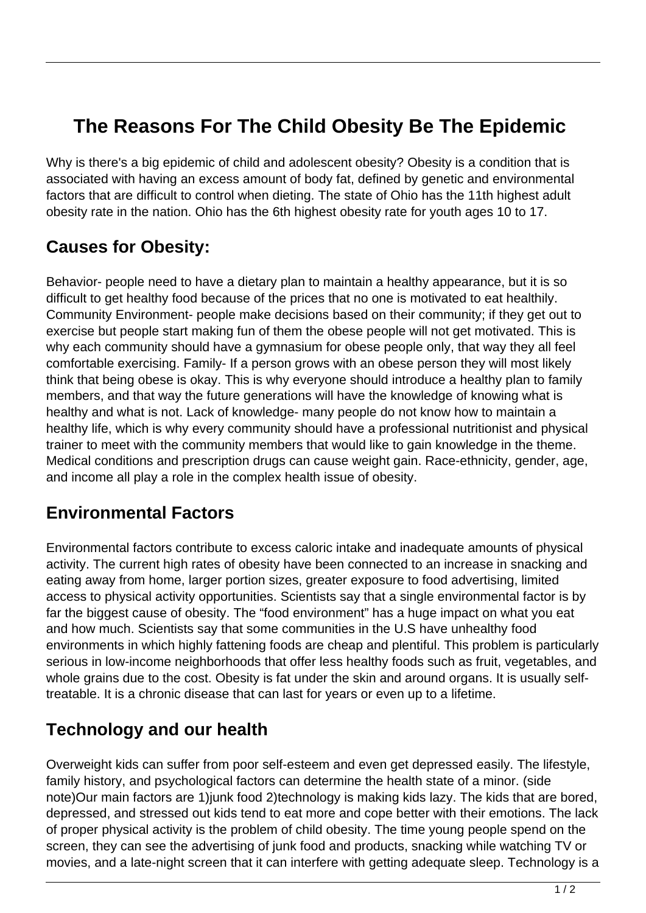# **The Reasons For The Child Obesity Be The Epidemic**

Why is there's a big epidemic of child and adolescent obesity? Obesity is a condition that is associated with having an excess amount of body fat, defined by genetic and environmental factors that are difficult to control when dieting. The state of Ohio has the 11th highest adult obesity rate in the nation. Ohio has the 6th highest obesity rate for youth ages 10 to 17.

### **Causes for Obesity:**

Behavior- people need to have a dietary plan to maintain a healthy appearance, but it is so difficult to get healthy food because of the prices that no one is motivated to eat healthily. Community Environment- people make decisions based on their community; if they get out to exercise but people start making fun of them the obese people will not get motivated. This is why each community should have a gymnasium for obese people only, that way they all feel comfortable exercising. Family- If a person grows with an obese person they will most likely think that being obese is okay. This is why everyone should introduce a healthy plan to family members, and that way the future generations will have the knowledge of knowing what is healthy and what is not. Lack of knowledge- many people do not know how to maintain a healthy life, which is why every community should have a professional nutritionist and physical trainer to meet with the community members that would like to gain knowledge in the theme. Medical conditions and prescription drugs can cause weight gain. Race-ethnicity, gender, age, and income all play a role in the complex health issue of obesity.

#### **Environmental Factors**

Environmental factors contribute to excess caloric intake and inadequate amounts of physical activity. The current high rates of obesity have been connected to an increase in snacking and eating away from home, larger portion sizes, greater exposure to food advertising, limited access to physical activity opportunities. Scientists say that a single environmental factor is by far the biggest cause of obesity. The "food environment" has a huge impact on what you eat and how much. Scientists say that some communities in the U.S have unhealthy food environments in which highly fattening foods are cheap and plentiful. This problem is particularly serious in low-income neighborhoods that offer less healthy foods such as fruit, vegetables, and whole grains due to the cost. Obesity is fat under the skin and around organs. It is usually selftreatable. It is a chronic disease that can last for years or even up to a lifetime.

#### **Technology and our health**

Overweight kids can suffer from poor self-esteem and even get depressed easily. The lifestyle, family history, and psychological factors can determine the health state of a minor. (side note)Our main factors are 1)junk food 2)technology is making kids lazy. The kids that are bored, depressed, and stressed out kids tend to eat more and cope better with their emotions. The lack of proper physical activity is the problem of child obesity. The time young people spend on the screen, they can see the advertising of junk food and products, snacking while watching TV or movies, and a late-night screen that it can interfere with getting adequate sleep. Technology is a